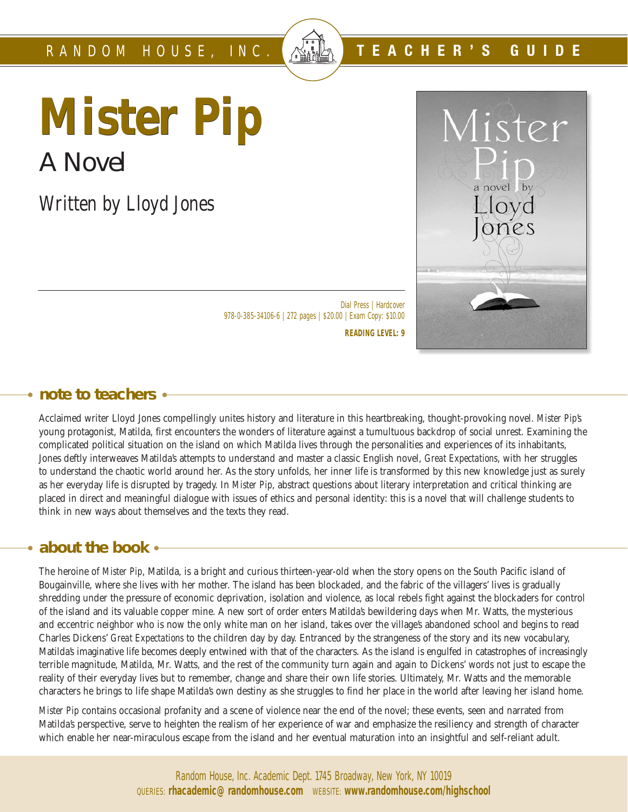# **Mister Pip** A Novel

*Written by Lloyd Jones*



**TEACHER'S GUIDE**

Dial Press | Hardcover 978-0-385-34106-6 | 272 pages | \$20.00 | Exam Copy: \$10.00

**READING LEVEL: 9**

#### **note to teachers**

Acclaimed writer Lloyd Jones compellingly unites history and literature in this heartbreaking, thought-provoking novel. *Mister Pip*'s young protagonist, Matilda, first encounters the wonders of literature against a tumultuous backdrop of social unrest. Examining the complicated political situation on the island on which Matilda lives through the personalities and experiences of its inhabitants, Jones deftly interweaves Matilda's attempts to understand and master a classic English novel, *Great Expectations*, with her struggles to understand the chaotic world around her. As the story unfolds, her inner life is transformed by this new knowledge just as surely as her everyday life is disrupted by tragedy. In *Mister Pip*, abstract questions about literary interpretation and critical thinking are placed in direct and meaningful dialogue with issues of ethics and personal identity: this is a novel that will challenge students to think in new ways about themselves and the texts they read.

#### **about the book**

The heroine of *Mister Pip*, Matilda, is a bright and curious thirteen-year-old when the story opens on the South Pacific island of Bougainville, where she lives with her mother. The island has been blockaded, and the fabric of the villagers' lives is gradually shredding under the pressure of economic deprivation, isolation and violence, as local rebels fight against the blockaders for control of the island and its valuable copper mine. A new sort of order enters Matilda's bewildering days when Mr. Watts, the mysterious and eccentric neighbor who is now the only white man on her island, takes over the village's abandoned school and begins to read Charles Dickens' *Great Expectations* to the children day by day. Entranced by the strangeness of the story and its new vocabulary, Matilda's imaginative life becomes deeply entwined with that of the characters. As the island is engulfed in catastrophes of increasingly terrible magnitude, Matilda, Mr. Watts, and the rest of the community turn again and again to Dickens' words not just to escape the reality of their everyday lives but to remember, change and share their own life stories. Ultimately, Mr. Watts and the memorable characters he brings to life shape Matilda's own destiny as she struggles to find her place in the world after leaving her island home.

*Mister Pip* contains occasional profanity and a scene of violence near the end of the novel; these events, seen and narrated from Matilda's perspective, serve to heighten the realism of her experience of war and emphasize the resiliency and strength of character which enable her near-miraculous escape from the island and her eventual maturation into an insightful and self-reliant adult.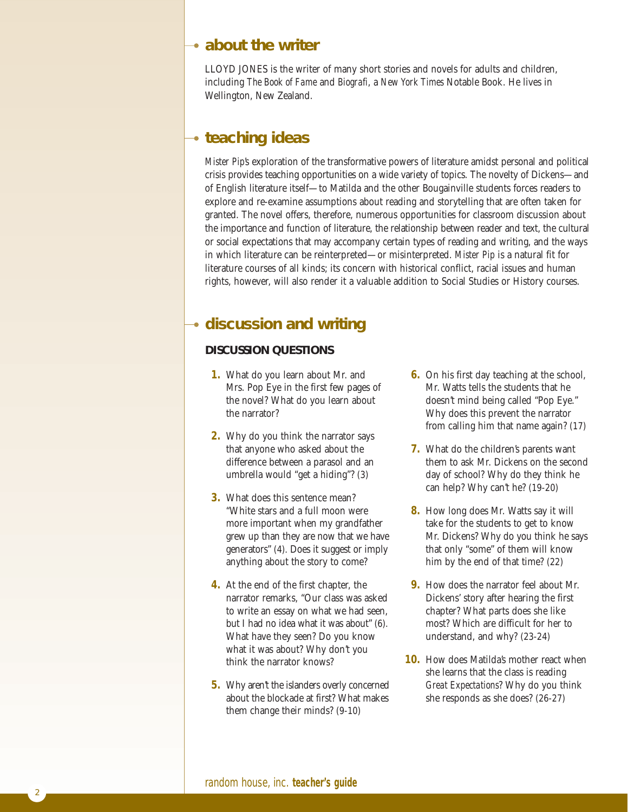#### **about the writer**

LLOYD JONES is the writer of many short stories and novels for adults and children, including *The Book of Fame* and *Biografi*, a *New York Times* Notable Book. He lives in Wellington, New Zealand.

### **teaching ideas**

*Mister Pip*'s exploration of the transformative powers of literature amidst personal and political crisis provides teaching opportunities on a wide variety of topics. The novelty of Dickens—and of English literature itself—to Matilda and the other Bougainville students forces readers to explore and re-examine assumptions about reading and storytelling that are often taken for granted. The novel offers, therefore, numerous opportunities for classroom discussion about the importance and function of literature, the relationship between reader and text, the cultural or social expectations that may accompany certain types of reading and writing, and the ways in which literature can be reinterpreted—or misinterpreted. *Mister Pip* is a natural fit for literature courses of all kinds; its concern with historical conflict, racial issues and human rights, however, will also render it a valuable addition to Social Studies or History courses.

## **discussion and writing**

#### **DISCUSSION QUESTIONS**

- **1.** What do you learn about Mr. and Mrs. Pop Eye in the first few pages of the novel? What do you learn about the narrator?
- **2.** Why do you think the narrator says that anyone who asked about the difference between a parasol and an umbrella would "get a hiding"? (3)
- **3.** What does this sentence mean? "White stars and a full moon were more important when my grandfather grew up than they are now that we have generators" (4). Does it suggest or imply anything about the story to come?
- **4.** At the end of the first chapter, the narrator remarks, "Our class was asked to write an essay on what we had seen, but I had no idea what it was about" (6). What have they seen? Do you know what it was about? Why don't you think the narrator knows?
- **5.** Why aren't the islanders overly concerned about the blockade at first? What makes them change their minds? (9-10)
- **6.** On his first day teaching at the school, Mr. Watts tells the students that he doesn't mind being called "Pop Eye." Why does this prevent the narrator from calling him that name again? (17)
- **7.** What do the children's parents want them to ask Mr. Dickens on the second day of school? Why do they think he can help? Why can't he? (19-20)
- **8.** How long does Mr. Watts say it will take for the students to get to know Mr. Dickens? Why do you think he says that only "some" of them will know him by the end of that time? (22)
- **9.** How does the narrator feel about Mr. Dickens' story after hearing the first chapter? What parts does she like most? Which are difficult for her to understand, and why? (23-24)
- **10.** How does Matilda's mother react when she learns that the class is reading *Great Expectations*? Why do you think she responds as she does? (26-27)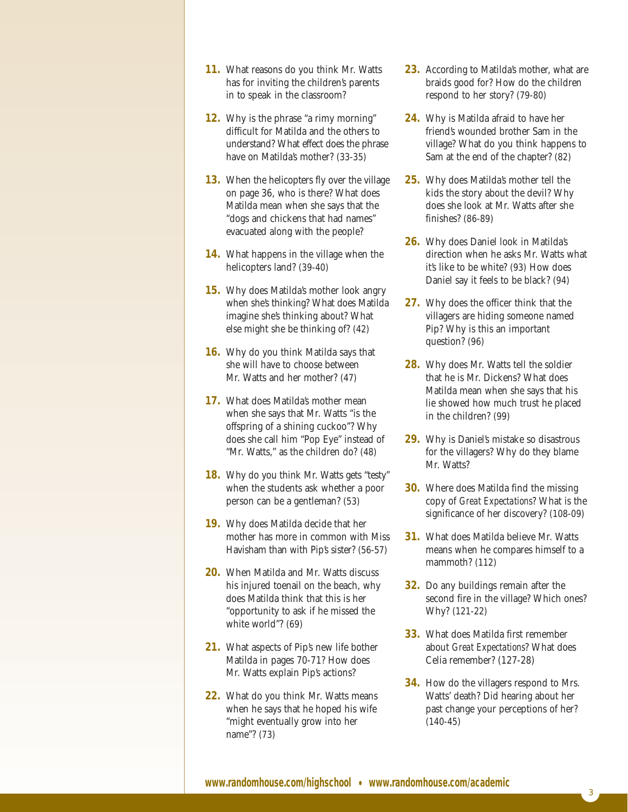- **11.** What reasons do you think Mr. Watts has for inviting the children's parents in to speak in the classroom?
- **12.** Why is the phrase "a rimy morning" difficult for Matilda and the others to understand? What effect does the phrase have on Matilda's mother? (33-35)
- **13.** When the helicopters fly over the village on page 36, who is there? What does Matilda mean when she says that the "dogs and chickens that had names" evacuated along with the people?
- **14.** What happens in the village when the helicopters land? (39-40)
- **15.** Why does Matilda's mother look angry when she's thinking? What does Matilda imagine she's thinking about? What else might she be thinking of? (42)
- **16.** Why do you think Matilda says that she will have to choose between Mr. Watts and her mother? (47)
- **17.** What does Matilda's mother mean when she says that Mr. Watts "is the offspring of a shining cuckoo"? Why does she call him "Pop Eye" instead of "Mr. Watts," as the children do? (48)
- **18.** Why do you think Mr. Watts gets "testy" when the students ask whether a poor person can be a gentleman? (53)
- **19.** Why does Matilda decide that her mother has more in common with Miss Havisham than with Pip's sister? (56-57)
- **20.** When Matilda and Mr. Watts discuss his injured toenail on the beach, why does Matilda think that this is her "opportunity to ask if he missed the white world"? (69)
- **21.** What aspects of Pip's new life bother Matilda in pages 70-71? How does Mr. Watts explain Pip's actions?
- **22.** What do you think Mr. Watts means when he says that he hoped his wife "might eventually grow into her name"? (73)
- 23. According to Matilda's mother, what are braids good for? How do the children respond to her story? (79-80)
- **24.** Why is Matilda afraid to have her friend's wounded brother Sam in the village? What do you think happens to Sam at the end of the chapter? (82)
- **25.** Why does Matilda's mother tell the kids the story about the devil? Why does she look at Mr. Watts after she finishes? (86-89)
- **26.** Why does Daniel look in Matilda's direction when he asks Mr. Watts what it's like to be white? (93) How does Daniel say it feels to be black? (94)
- **27.** Why does the officer think that the villagers are hiding someone named Pip? Why is this an important question? (96)
- **28.** Why does Mr. Watts tell the soldier that he is Mr. Dickens? What does Matilda mean when she says that his lie showed how much trust he placed in the children? (99)
- 29. Why is Daniel's mistake so disastrous for the villagers? Why do they blame Mr. Watts?
- **30.** Where does Matilda find the missing copy of *Great Expectations*? What is the significance of her discovery? (108-09)
- **31.** What does Matilda believe Mr. Watts means when he compares himself to a mammoth? (112)
- **32.** Do any buildings remain after the second fire in the village? Which ones? Why? (121-22)
- **33.** What does Matilda first remember about *Great Expectations*? What does Celia remember? (127-28)
- **34.** How do the villagers respond to Mrs. Watts' death? Did hearing about her past change your perceptions of her? (140-45)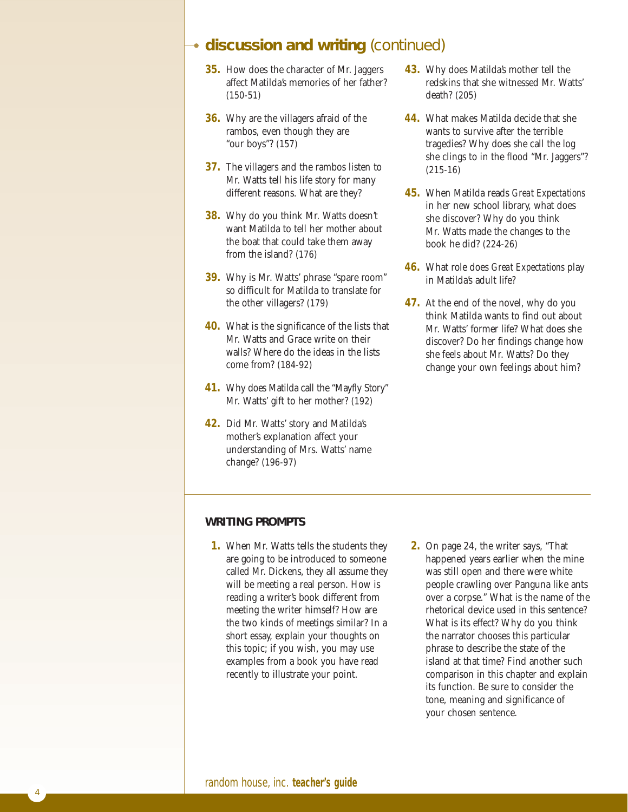#### **discussion and writing** (continued)

- **35.** How does the character of Mr. Jaggers affect Matilda's memories of her father? (150-51)
- **36.** Why are the villagers afraid of the rambos, even though they are "our boys"? (157)
- **37.** The villagers and the rambos listen to Mr. Watts tell his life story for many different reasons. What are they?
- **38.** Why do you think Mr. Watts doesn't want Matilda to tell her mother about the boat that could take them away from the island? (176)
- **39.** Why is Mr. Watts' phrase "spare room" so difficult for Matilda to translate for the other villagers? (179)
- **40.** What is the significance of the lists that Mr. Watts and Grace write on their walls? Where do the ideas in the lists come from? (184-92)
- **41.** Why does Matilda call the "Mayfly Story" Mr. Watts' gift to her mother? (192)
- **42.** Did Mr. Watts' story and Matilda's mother's explanation affect your understanding of Mrs. Watts' name change? (196-97)
- **43.** Why does Matilda's mother tell the redskins that she witnessed Mr. Watts' death? (205)
- **44.** What makes Matilda decide that she wants to survive after the terrible tragedies? Why does she call the log she clings to in the flood "Mr. Jaggers"? (215-16)
- **45.** When Matilda reads *Great Expectations* in her new school library, what does she discover? Why do you think Mr. Watts made the changes to the book he did? (224-26)
- **46.** What role does *Great Expectations* play in Matilda's adult life?
- **47.** At the end of the novel, why do you think Matilda wants to find out about Mr. Watts' former life? What does she discover? Do her findings change how she feels about Mr. Watts? Do they change your own feelings about him?

#### **WRITING PROMPTS**

- **1.** When Mr. Watts tells the students they are going to be introduced to someone called Mr. Dickens, they all assume they will be meeting a real person. How is reading a writer's book different from meeting the writer himself? How are the two kinds of meetings similar? In a short essay, explain your thoughts on this topic; if you wish, you may use examples from a book you have read recently to illustrate your point.
- **2.** On page 24, the writer says, "That happened years earlier when the mine was still open and there were white people crawling over Panguna like ants over a corpse." What is the name of the rhetorical device used in this sentence? What is its effect? Why do you think the narrator chooses this particular phrase to describe the state of the island at that time? Find another such comparison in this chapter and explain its function. Be sure to consider the tone, meaning and significance of your chosen sentence.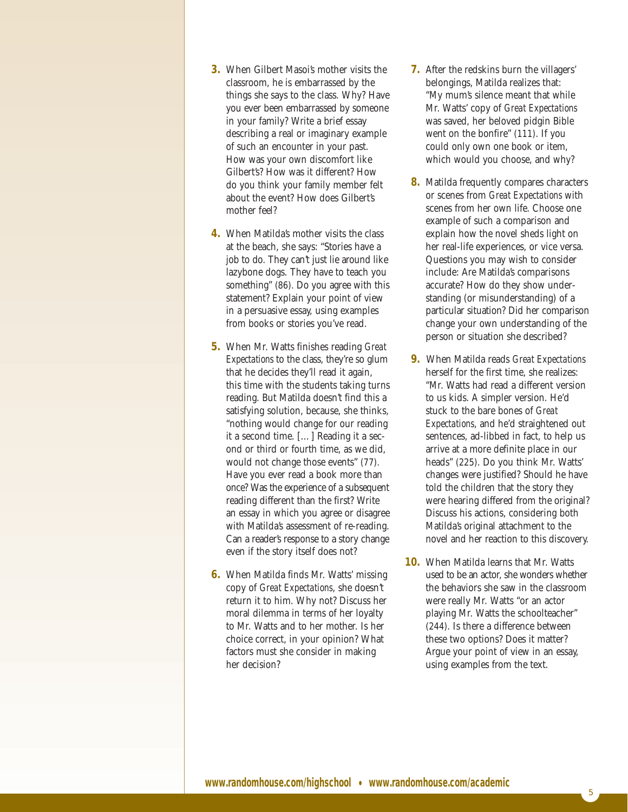- **3.** When Gilbert Masoi's mother visits the classroom, he is embarrassed by the things she says to the class. Why? Have you ever been embarrassed by someone in your family? Write a brief essay describing a real or imaginary example of such an encounter in your past. How was your own discomfort like Gilbert's? How was it different? How do you think your family member felt about the event? How does Gilbert's mother feel?
- **4.** When Matilda's mother visits the class at the beach, she says: "Stories have a job to do. They can't just lie around like lazybone dogs. They have to teach you something" (86). Do you agree with this statement? Explain your point of view in a persuasive essay, using examples from books or stories you've read.
- **5.** When Mr. Watts finishes reading *Great Expectations* to the class, they're so glum that he decides they'll read it again, this time with the students taking turns reading. But Matilda doesn't find this a satisfying solution, because, she thinks, "nothing would change for our reading it a second time. […] Reading it a second or third or fourth time, as we did, would not change those events" (77). Have you ever read a book more than once? Was the experience of a subsequent reading different than the first? Write an essay in which you agree or disagree with Matilda's assessment of re-reading. Can a reader's response to a story change even if the story itself does not?
- **6.** When Matilda finds Mr. Watts' missing copy of *Great Expectations*, she doesn't return it to him. Why not? Discuss her moral dilemma in terms of her loyalty to Mr. Watts and to her mother. Is her choice correct, in your opinion? What factors must she consider in making her decision?
- **7.** After the redskins burn the villagers' belongings, Matilda realizes that: "My mum's silence meant that while Mr. Watts' copy of *Great Expectations* was saved, her beloved pidgin Bible went on the bonfire" (111). If you could only own one book or item, which would you choose, and why?
- **8.** Matilda frequently compares characters or scenes from *Great Expectations* with scenes from her own life. Choose one example of such a comparison and explain how the novel sheds light on her real-life experiences, or vice versa. Questions you may wish to consider include: Are Matilda's comparisons accurate? How do they show understanding (or misunderstanding) of a particular situation? Did her comparison change your own understanding of the person or situation she described?
- **9.** When Matilda reads *Great Expectations* herself for the first time, she realizes: "Mr. Watts had read a different version to us kids. A simpler version. He'd stuck to the bare bones of *Great Expectations*, and he'd straightened out sentences, ad-libbed in fact, to help us arrive at a more definite place in our heads" (225). Do you think Mr. Watts' changes were justified? Should he have told the children that the story they were hearing differed from the original? Discuss his actions, considering both Matilda's original attachment to the novel and her reaction to this discovery.
- **10.** When Matilda learns that Mr. Watts used to be an actor, she wonders whether the behaviors she saw in the classroom were really Mr. Watts "or an actor playing Mr. Watts the schoolteacher" (244). Is there a difference between these two options? Does it matter? Argue your point of view in an essay, using examples from the text.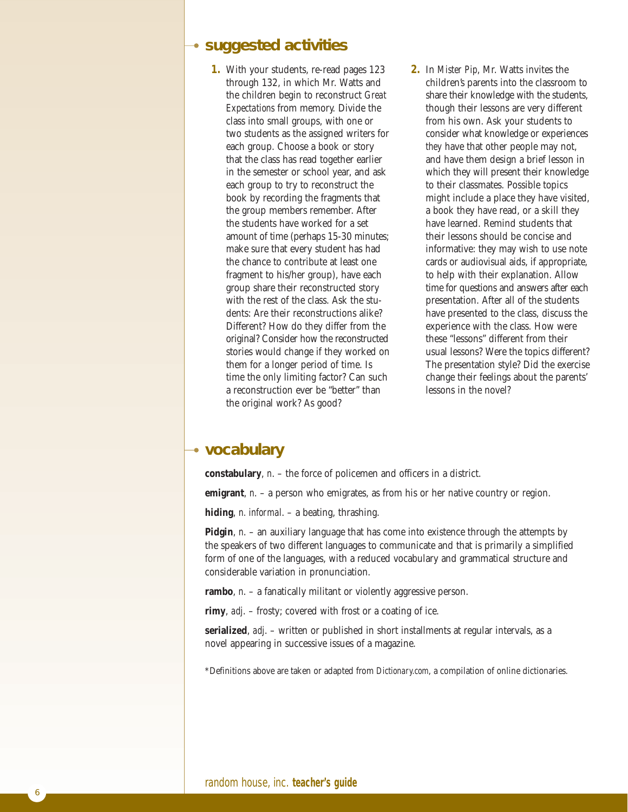#### **suggested activities**

- **1.** With your students, re-read pages 123 through 132, in which Mr. Watts and the children begin to reconstruct *Great Expectations* from memory. Divide the class into small groups, with one or two students as the assigned writers for each group. Choose a book or story that the class has read together earlier in the semester or school year, and ask each group to try to reconstruct the book by recording the fragments that the group members remember. After the students have worked for a set amount of time (perhaps 15-30 minutes; make sure that every student has had the chance to contribute at least one fragment to his/her group), have each group share their reconstructed story with the rest of the class. Ask the students: Are their reconstructions alike? Different? How do they differ from the original? Consider how the reconstructed stories would change if they worked on them for a longer period of time. Is time the only limiting factor? Can such a reconstruction ever be "better" than the original work? As good?
- **2.** In *Mister Pip*, Mr. Watts invites the children's parents into the classroom to share their knowledge with the students, though their lessons are very different from his own. Ask your students to consider what knowledge or experiences *they* have that other people may not, and have them design a brief lesson in which they will present their knowledge to their classmates. Possible topics might include a place they have visited, a book they have read, or a skill they have learned. Remind students that their lessons should be concise and informative: they may wish to use note cards or audiovisual aids, if appropriate, to help with their explanation. Allow time for questions and answers after each presentation. After all of the students have presented to the class, discuss the experience with the class. How were these "lessons" different from their usual lessons? Were the topics different? The presentation style? Did the exercise change their feelings about the parents' lessons in the novel?

#### **vocabulary**

**constabulary**, *n*. – the force of policemen and officers in a district.

**emigrant**, *n*. – a person who emigrates, as from his or her native country or region.

**hiding**, *n. informal*. – a beating, thrashing.

**Pidgin**, *n*. – an auxiliary language that has come into existence through the attempts by the speakers of two different languages to communicate and that is primarily a simplified form of one of the languages, with a reduced vocabulary and grammatical structure and considerable variation in pronunciation.

**rambo**, *n*. – a fanatically militant or violently aggressive person.

**rimy**, *adj*. – frosty; covered with frost or a coating of ice.

**serialized**, *adj*. – written or published in short installments at regular intervals, as a novel appearing in successive issues of a magazine.

\*Definitions above are taken or adapted from *Dictionary.com*, a compilation of online dictionaries.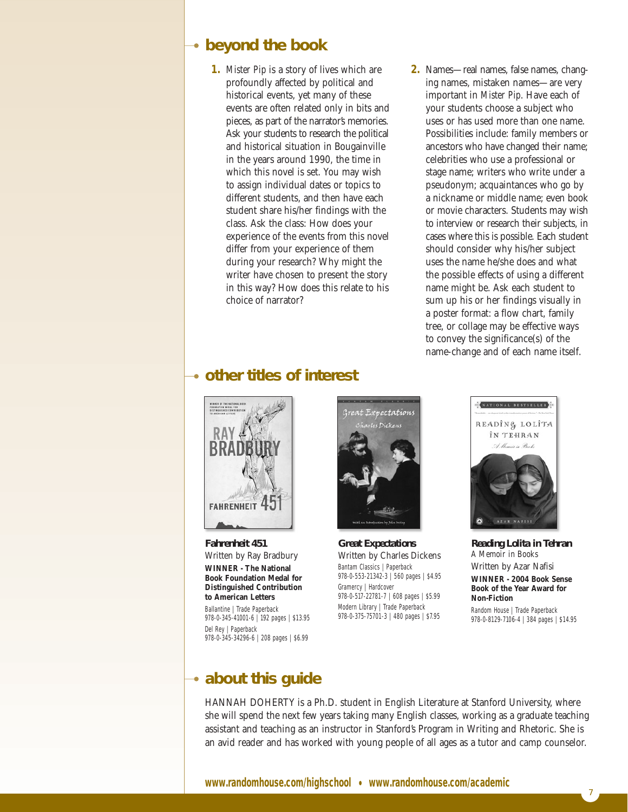### **beyond the book**

**1.** *Mister Pip* is a story of lives which are profoundly affected by political and historical events, yet many of these events are often related only in bits and pieces, as part of the narrator's memories. Ask your students to research the political and historical situation in Bougainville in the years around 1990, the time in which this novel is set. You may wish to assign individual dates or topics to different students, and then have each student share his/her findings with the class. Ask the class: How does your experience of the events from this novel differ from your experience of them during your research? Why might the writer have chosen to present the story in this way? How does this relate to his choice of narrator?

## **other titles of interest**



*Great Expectations* Written by Charles Dickens Bantam Classics | Paperback 978-0-553-21342-3 | 560 pages | \$4.95 Gramercy | Hardcover 978-0-517-22781-7 | 608 pages | \$5.99 Modern Library | Trade Paperback 978-0-375-75701-3 | 480 pages | \$7.95



NATIONAL BESTSELLER READING LOLITA ÎN TEHRAN Allowing Bul AZAR NAFISI

*Reading Lolita in Tehran A Memoir in Books*  Written by Azar Nafisi **WINNER - 2004 Book Sense Book of the Year Award for Non-Fiction** Random House | Trade Paperback 978-0-8129-7106-4 | 384 pages | \$14.95

7

# **about this guide**

978-0-345-34296-6 | 208 pages | \$6.99

*Fahrenheit 451*

**FAHRENHEIT** 

Del Rey | Paperback

Written by Ray Bradbury **WINNER - The National Book Foundation Medal for Distinguished Contribution to American Letters** Ballantine | Trade Paperback 978-0-345-41001-6 | 192 pages | \$13.95

HANNAH DOHERTY is a Ph.D. student in English Literature at Stanford University, where she will spend the next few years taking many English classes, working as a graduate teaching assistant and teaching as an instructor in Stanford's Program in Writing and Rhetoric. She is an avid reader and has worked with young people of all ages as a tutor and camp counselor.